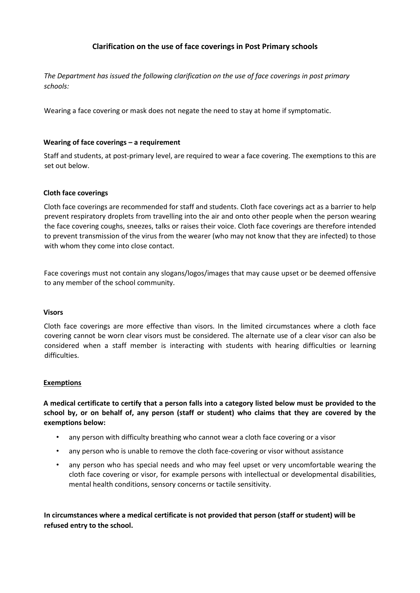# **Clarification on the use of face coverings in Post Primary schools**

*The Department has issued the following clarification on the use of face coverings in post primary schools:*

Wearing a face covering or mask does not negate the need to stay at home if symptomatic.

# **Wearing of face coverings – a requirement**

Staff and students, at post-primary level, are required to wear a face covering. The exemptions to this are set out below.

### **Cloth face coverings**

Cloth face coverings are recommended for staff and students. Cloth face coverings act as a barrier to help prevent respiratory droplets from travelling into the air and onto other people when the person wearing the face covering coughs, sneezes, talks or raises their voice. Cloth face coverings are therefore intended to prevent transmission of the virus from the wearer (who may not know that they are infected) to those with whom they come into close contact.

Face coverings must not contain any slogans/logos/images that may cause upset or be deemed offensive to any member of the school community.

### **Visors**

Cloth face coverings are more effective than visors. In the limited circumstances where a cloth face covering cannot be worn clear visors must be considered. The alternate use of a clear visor can also be considered when a staff member is interacting with students with hearing difficulties or learning difficulties.

### **Exemptions**

**A medical certificate to certify that a person falls into a category listed below must be provided to the school by, or on behalf of, any person (staff or student) who claims that they are covered by the exemptions below:** 

- any person with difficulty breathing who cannot wear a cloth face covering or a visor
- any person who is unable to remove the cloth face-covering or visor without assistance
- any person who has special needs and who may feel upset or very uncomfortable wearing the cloth face covering or visor, for example persons with intellectual or developmental disabilities, mental health conditions, sensory concerns or tactile sensitivity.

**In circumstances where a medical certificate is not provided that person (staff or student) will be refused entry to the school.**